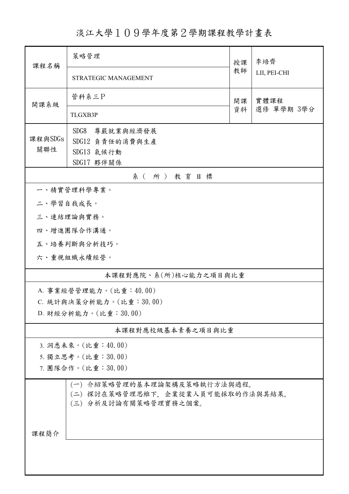淡江大學109學年度第2學期課程教學計畫表

| 課程名稱                                                                                       | 策略管理                        |          | 李培齊          |  |  |  |
|--------------------------------------------------------------------------------------------|-----------------------------|----------|--------------|--|--|--|
|                                                                                            | <b>STRATEGIC MANAGEMENT</b> | 教師       | LII, PEI-CHI |  |  |  |
| 開課系級                                                                                       | 管科系三P                       | 開課<br>資料 | 實體課程         |  |  |  |
|                                                                                            | TLGXB3P                     |          | 選修 單學期 3學分   |  |  |  |
|                                                                                            | SDG8<br>尊嚴就業與經濟發展           |          |              |  |  |  |
| 課程與SDGs<br>關聯性                                                                             | SDG12 負責任的消費與生產             |          |              |  |  |  |
|                                                                                            | SDG13 氣候行動                  |          |              |  |  |  |
|                                                                                            | SDG17 夥伴關係<br>系(所)教育目標      |          |              |  |  |  |
|                                                                                            | 一、精實管理科學專業。                 |          |              |  |  |  |
| 二、學習自我成長。                                                                                  |                             |          |              |  |  |  |
|                                                                                            | 三、連結理論與實務。                  |          |              |  |  |  |
|                                                                                            | 四、增進團隊合作溝通。                 |          |              |  |  |  |
|                                                                                            | 五、培養判斷與分析技巧。                |          |              |  |  |  |
| 六、重視組織永續經營。                                                                                |                             |          |              |  |  |  |
| 本課程對應院、系(所)核心能力之項目與比重                                                                      |                             |          |              |  |  |  |
|                                                                                            | A. 事業經營管理能力。(比重:40.00)      |          |              |  |  |  |
|                                                                                            | C. 統計與決策分析能力。(比重:30.00)     |          |              |  |  |  |
| D. 財經分析能力。(比重:30.00)                                                                       |                             |          |              |  |  |  |
|                                                                                            | 本課程對應校級基本素養之項目與比重           |          |              |  |  |  |
|                                                                                            | 3. 洞悉未來。(比重:40.00)          |          |              |  |  |  |
|                                                                                            | 5. 獨立思考。(比重:30.00)          |          |              |  |  |  |
|                                                                                            | 7. 團隊合作。(比重:30.00)          |          |              |  |  |  |
| (一) 介紹策略管理的基本理論架構及策略執行方法與過程。<br>(二) 探討在策略管理思維下,企業從業人員可能採取的作法與其結果。<br>(三) 分析及討論有關策略管理實務之個案。 |                             |          |              |  |  |  |
| 课程简介                                                                                       |                             |          |              |  |  |  |
|                                                                                            |                             |          |              |  |  |  |
|                                                                                            |                             |          |              |  |  |  |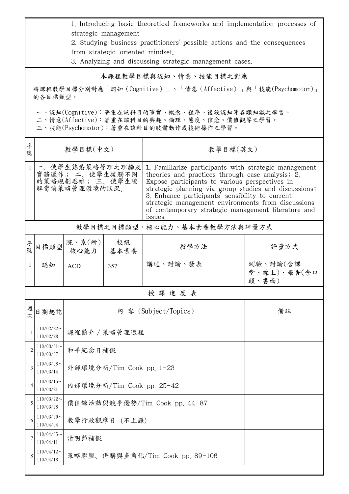|                                                                                                                                        | 1. Introducing basic theoretical frameworks and implementation processes of<br>strategic management |                                 |                               |                                                                                                                                                                                                                                                                                                                                                                                                 |                                  |  |  |  |
|----------------------------------------------------------------------------------------------------------------------------------------|-----------------------------------------------------------------------------------------------------|---------------------------------|-------------------------------|-------------------------------------------------------------------------------------------------------------------------------------------------------------------------------------------------------------------------------------------------------------------------------------------------------------------------------------------------------------------------------------------------|----------------------------------|--|--|--|
|                                                                                                                                        | 2. Studying business practitioners' possible actions and the consequences                           |                                 |                               |                                                                                                                                                                                                                                                                                                                                                                                                 |                                  |  |  |  |
|                                                                                                                                        | from strategic-oriented mindset.<br>3. Analyzing and discussing strategic management cases.         |                                 |                               |                                                                                                                                                                                                                                                                                                                                                                                                 |                                  |  |  |  |
| 本課程教學目標與認知、情意、技能目標之對應                                                                                                                  |                                                                                                     |                                 |                               |                                                                                                                                                                                                                                                                                                                                                                                                 |                                  |  |  |  |
|                                                                                                                                        |                                                                                                     |                                 |                               | 將課程教學目標分別對應「認知 (Cognitive)」、「情意 (Affective)」與「技能(Psychomotor)」                                                                                                                                                                                                                                                                                                                                  |                                  |  |  |  |
|                                                                                                                                        | 的各目標類型。                                                                                             |                                 |                               |                                                                                                                                                                                                                                                                                                                                                                                                 |                                  |  |  |  |
| 一、認知(Cognitive):著重在該科目的事實、概念、程序、後設認知等各類知識之學習。<br>二、情意(Affective):著重在該科目的興趣、倫理、態度、信念、價值觀等之學習。<br>三、技能(Psychomotor):著重在該科目的肢體動作或技術操作之學習。 |                                                                                                     |                                 |                               |                                                                                                                                                                                                                                                                                                                                                                                                 |                                  |  |  |  |
| 序<br>號                                                                                                                                 |                                                                                                     | 教學目標(中文)<br>教學目標(英文)            |                               |                                                                                                                                                                                                                                                                                                                                                                                                 |                                  |  |  |  |
|                                                                                                                                        | 一、使學生熟悉策略管理之理論及<br>實務運作; 二、使學生接觸不同<br>的策略規劃思維; 三、使學生瞭<br>解當前策略管理環境的狀況。                              |                                 |                               | 1. Familiarize participants with strategic management<br>theories and practices through case analysis; 2.<br>Expose participants to various perspectives in<br>strategic planning via group studies and discussions;<br>3. Enhance participants' sensibility to current<br>strategic management environments from discussions<br>of contemporary strategic management literature and<br>issues. |                                  |  |  |  |
|                                                                                                                                        | 教學目標之目標類型、核心能力、基本素養教學方法與評量方式                                                                        |                                 |                               |                                                                                                                                                                                                                                                                                                                                                                                                 |                                  |  |  |  |
| 序號                                                                                                                                     | 目標類型                                                                                                | 院、系(所)<br>核心能力                  | 校級<br>基本素養                    | 教學方法                                                                                                                                                                                                                                                                                                                                                                                            | 評量方式                             |  |  |  |
| $\perp$                                                                                                                                | 認知                                                                                                  | <b>ACD</b>                      | 357                           | 講述、討論、發表                                                                                                                                                                                                                                                                                                                                                                                        | 測驗、討論(含課<br>堂、線上)、報告(含口<br>頭、書面) |  |  |  |
|                                                                                                                                        |                                                                                                     |                                 |                               | 授課進度表                                                                                                                                                                                                                                                                                                                                                                                           |                                  |  |  |  |
| 週<br>次                                                                                                                                 | 日期起訖                                                                                                | 內 容 (Subject/Topics)<br>備註      |                               |                                                                                                                                                                                                                                                                                                                                                                                                 |                                  |  |  |  |
| 1                                                                                                                                      | $110/02/22$ ~<br>110/02/28                                                                          | 課程簡介 / 策略管理過程                   |                               |                                                                                                                                                                                                                                                                                                                                                                                                 |                                  |  |  |  |
| 2                                                                                                                                      | $110/03/01$ ~<br>110/03/07                                                                          | 和平紀念日補假                         |                               |                                                                                                                                                                                                                                                                                                                                                                                                 |                                  |  |  |  |
| 3                                                                                                                                      | $110/03/08$ ~<br>110/03/14                                                                          | 外部環境分析/Tim Cook pp. 1-23        |                               |                                                                                                                                                                                                                                                                                                                                                                                                 |                                  |  |  |  |
| 4                                                                                                                                      | $110/03/15$ ~<br>110/03/21                                                                          | 內部環境分析/Tim Cook pp. 25-42       |                               |                                                                                                                                                                                                                                                                                                                                                                                                 |                                  |  |  |  |
| 5                                                                                                                                      | $110/03/22$ ~<br>110/03/28                                                                          |                                 | 價值鍊活動與競爭優勢/Tim Cook pp. 44-87 |                                                                                                                                                                                                                                                                                                                                                                                                 |                                  |  |  |  |
| 6                                                                                                                                      | $110/03/29$ ~<br>110/04/04                                                                          | 教學行政觀摩日 (不上課)                   |                               |                                                                                                                                                                                                                                                                                                                                                                                                 |                                  |  |  |  |
| 7                                                                                                                                      | $110/04/05$ ~<br>110/04/11                                                                          | 清明節補假                           |                               |                                                                                                                                                                                                                                                                                                                                                                                                 |                                  |  |  |  |
|                                                                                                                                        | $110/04/12$ ~<br>110/04/18                                                                          | 策略聯盟、併購與多角化/Tim Cook pp. 89-106 |                               |                                                                                                                                                                                                                                                                                                                                                                                                 |                                  |  |  |  |